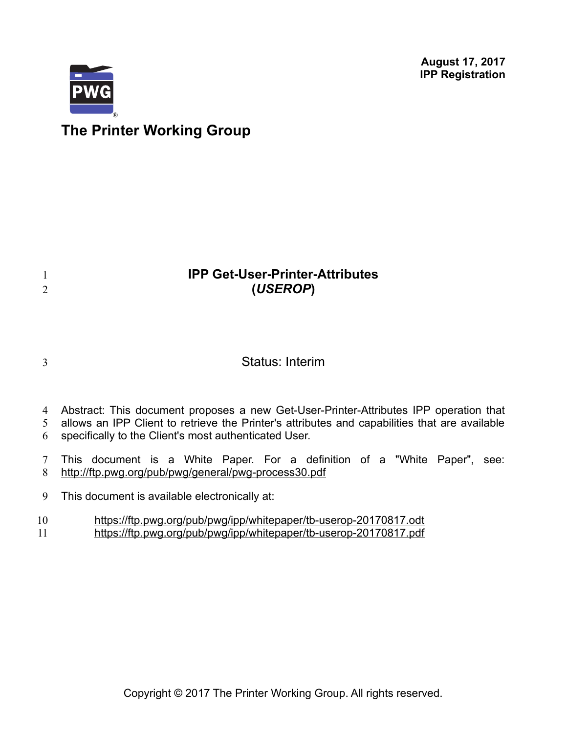**August 17, 2017 IPP Registration**



# **The Printer Working Group**

## **IPP Get-User-Printer-Attributes (***USEROP***)**

| ٠<br>i  |
|---------|
| I       |
|         |
| ë<br>۰. |

1 2

Status: Interim

- 4 Abstract: This document proposes a new Get-User-Printer-Attributes IPP operation that
- allows an IPP Client to retrieve the Printer's attributes and capabilities that are available 5
- specifically to the Client's most authenticated User. 6
- This document is a White Paper. For a definition of a "White Paper", see: <http://ftp.pwg.org/pub/pwg/general/pwg-process30.pdf> 7 8
- This document is available electronically at: 9
- <https://ftp.pwg.org/pub/pwg/ipp/whitepaper/tb-userop-20170817.odt> 10
- <https://ftp.pwg.org/pub/pwg/ipp/whitepaper/tb-userop-20170817.pdf> 11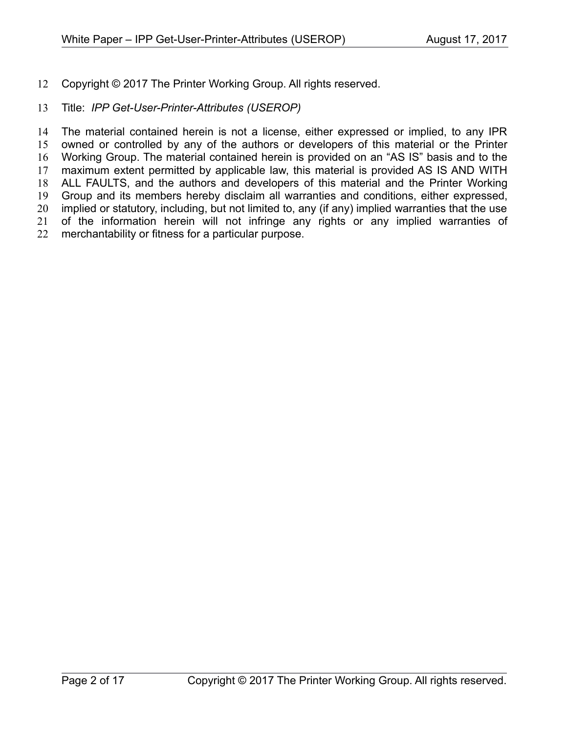Copyright © 2017 The Printer Working Group. All rights reserved. 12

#### Title: *IPP Get-User-Printer-Attributes (USEROP)* 13

The material contained herein is not a license, either expressed or implied, to any IPR owned or controlled by any of the authors or developers of this material or the Printer Working Group. The material contained herein is provided on an "AS IS" basis and to the maximum extent permitted by applicable law, this material is provided AS IS AND WITH ALL FAULTS, and the authors and developers of this material and the Printer Working Group and its members hereby disclaim all warranties and conditions, either expressed, implied or statutory, including, but not limited to, any (if any) implied warranties that the use of the information herein will not infringe any rights or any implied warranties of merchantability or fitness for a particular purpose. 14 15 16 17 18 19 20 21 22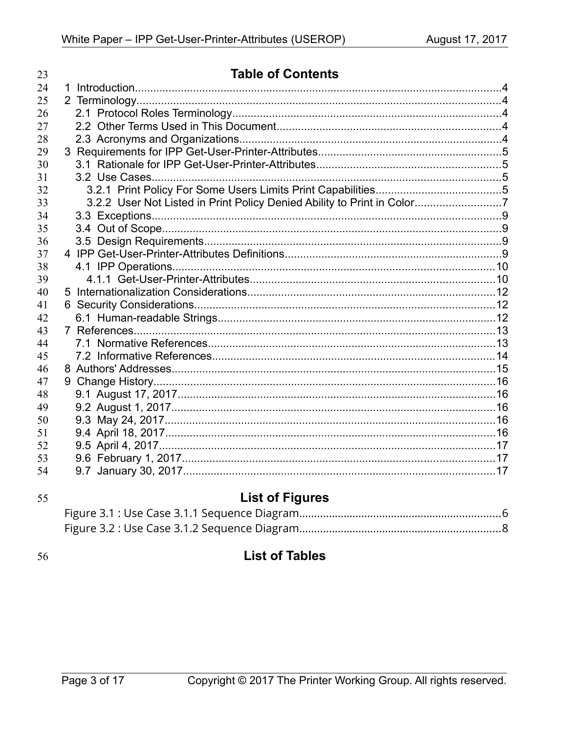| 23 | <b>Table of Contents</b>                                                |  |
|----|-------------------------------------------------------------------------|--|
| 24 |                                                                         |  |
| 25 |                                                                         |  |
| 26 |                                                                         |  |
| 27 |                                                                         |  |
| 28 |                                                                         |  |
| 29 |                                                                         |  |
| 30 |                                                                         |  |
| 31 |                                                                         |  |
| 32 |                                                                         |  |
| 33 | 3.2.2 User Not Listed in Print Policy Denied Ability to Print in Color7 |  |
| 34 |                                                                         |  |
| 35 |                                                                         |  |
| 36 |                                                                         |  |
| 37 |                                                                         |  |
| 38 |                                                                         |  |
| 39 |                                                                         |  |
| 40 |                                                                         |  |
| 41 |                                                                         |  |
| 42 |                                                                         |  |
| 43 |                                                                         |  |
| 44 |                                                                         |  |
| 45 |                                                                         |  |
| 46 |                                                                         |  |
| 47 |                                                                         |  |
| 48 |                                                                         |  |
| 49 |                                                                         |  |
| 50 |                                                                         |  |
| 51 |                                                                         |  |
| 52 |                                                                         |  |
| 53 |                                                                         |  |
| 54 |                                                                         |  |

| ×            | ×                 |
|--------------|-------------------|
| I<br>۰.<br>× | I<br>I<br>۰.<br>× |

# **List of Figures**

56

## **List of Tables**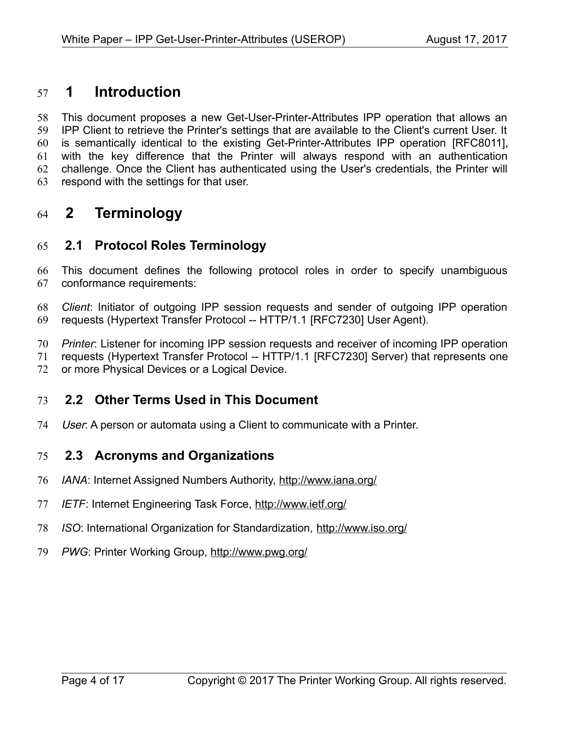## **1 Introduction** 57

This document proposes a new Get-User-Printer-Attributes IPP operation that allows an IPP Client to retrieve the Printer's settings that are available to the Client's current User. It is semantically identical to the existing Get-Printer-Attributes IPP operation [\[RFC8011\],](#page-13-0) with the key difference that the Printer will always respond with an authentication challenge. Once the Client has authenticated using the User's credentials, the Printer will respond with the settings for that user. 58 59 60 61 62 63

## **2 Terminology** 64

### **2.1 Protocol Roles Terminology** 65

This document defines the following protocol roles in order to specify unambiguous conformance requirements: 66 67

*Client*: Initiator of outgoing IPP session requests and sender of outgoing IPP operation requests (Hypertext Transfer Protocol -- HTTP/1.1 [\[RFC7230\]](#page-12-0) User Agent). 68 69

*Printer*: Listener for incoming IPP session requests and receiver of incoming IPP operation 70

requests (Hypertext Transfer Protocol -- HTTP/1.1 [\[RFC7230\]](#page-12-0) Server) that represents one 71

or more Physical Devices or a Logical Device. 72

#### **2.2 Other Terms Used in This Document** 73

User: A person or automata using a Client to communicate with a Printer. 74

#### **2.3 Acronyms and Organizations** 75

- *IANA*: Internet Assigned Numbers Authority,<http://www.iana.org/> 76
- *IETF*: Internet Engineering Task Force,<http://www.ietf.org/> 77
- *ISO*: International Organization for Standardization,<http://www.iso.org/> 78
- 79 PWG: Printer Working Group,<http://www.pwg.org/>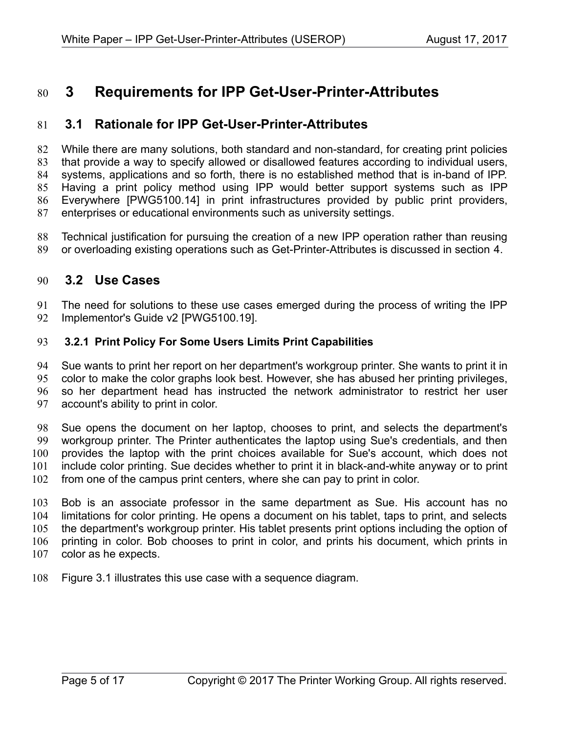## **3 Requirements for IPP Get-User-Printer-Attributes** 80

#### **3.1 Rationale for IPP Get-User-Printer-Attributes** 81

While there are many solutions, both standard and non-standard, for creating print policies that provide a way to specify allowed or disallowed features according to individual users, systems, applications and so forth, there is no established method that is in-band of IPP. Having a print policy method using IPP would better support systems such as IPP Everywhere [\[PWG5100.14\]](#page-12-2) in print infrastructures provided by public print providers, enterprises or educational environments such as university settings. 82 83 84 85 86 87

Technical justification for pursuing the creation of a new IPP operation rather than reusing or overloading existing operations such as Get-Printer-Attributes is discussed in section [4.](#page-8-0) 88 89

#### <span id="page-4-0"></span> **3.2 Use Cases** 90

The need for solutions to these use cases emerged during the process of writing the IPP Implementor's Guide v2 [\[PWG5100.19\].](#page-12-1) 91 92

#### **3.2.1 Print Policy For Some Users Limits Print Capabilities** 93

Sue wants to print her report on her department's workgroup printer. She wants to print it in color to make the color graphs look best. However, she has abused her printing privileges, so her department head has instructed the network administrator to restrict her user account's ability to print in color. 94 95 96 97

Sue opens the document on her laptop, chooses to print, and selects the department's workgroup printer. The Printer authenticates the laptop using Sue's credentials, and then provides the laptop with the print choices available for Sue's account, which does not include color printing. Sue decides whether to print it in black-and-white anyway or to print from one of the campus print centers, where she can pay to print in color. 98 99 100 101 102

Bob is an associate professor in the same department as Sue. His account has no limitations for color printing. He opens a document on his tablet, taps to print, and selects the department's workgroup printer. His tablet presents print options including the option of printing in color. Bob chooses to print in color, and prints his document, which prints in color as he expects. 103 104 105 106 107

Figure [3.1](#page-5-0) illustrates this use case with a sequence diagram. 108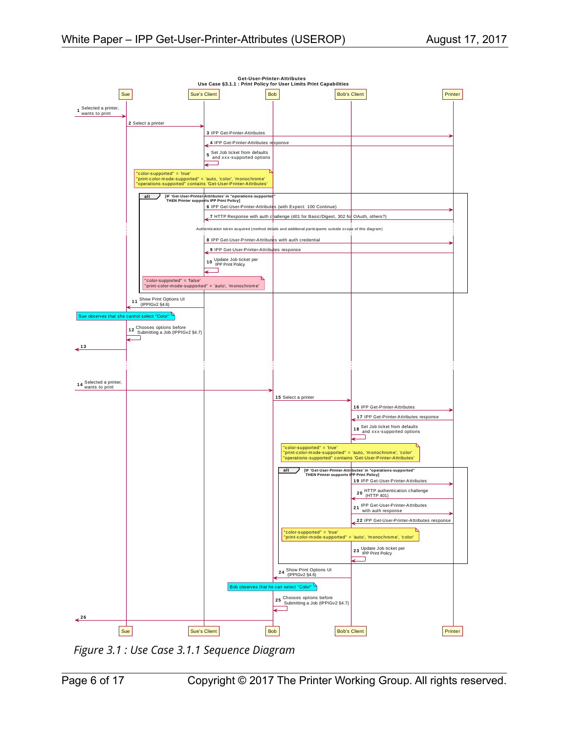

<span id="page-5-0"></span>*Figure 3.1 : Use Case 3.1.1 Sequence Diagram*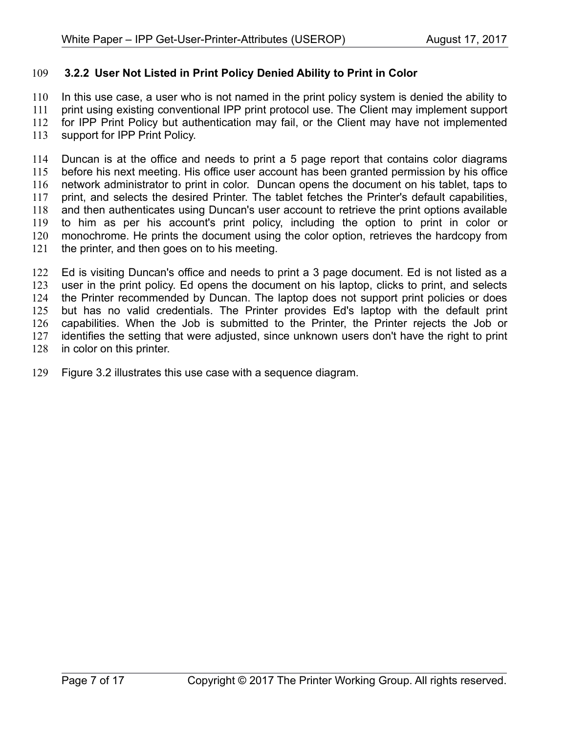#### **3.2.2 User Not Listed in Print Policy Denied Ability to Print in Color** 109

In this use case, a user who is not named in the print policy system is denied the ability to print using existing conventional IPP print protocol use. The Client may implement support for IPP Print Policy but authentication may fail, or the Client may have not implemented support for IPP Print Policy. 110 111 112 113

Duncan is at the office and needs to print a 5 page report that contains color diagrams before his next meeting. His office user account has been granted permission by his office network administrator to print in color. Duncan opens the document on his tablet, taps to print, and selects the desired Printer. The tablet fetches the Printer's default capabilities, and then authenticates using Duncan's user account to retrieve the print options available to him as per his account's print policy, including the option to print in color or monochrome. He prints the document using the color option, retrieves the hardcopy from the printer, and then goes on to his meeting. 114 115 116 117 118 119 120 121

Ed is visiting Duncan's office and needs to print a 3 page document. Ed is not listed as a user in the print policy. Ed opens the document on his laptop, clicks to print, and selects the Printer recommended by Duncan. The laptop does not support print policies or does but has no valid credentials. The Printer provides Ed's laptop with the default print capabilities. When the Job is submitted to the Printer, the Printer rejects the Job or identifies the setting that were adjusted, since unknown users don't have the right to print in color on this printer. 122 123 124 125 126 127 128

Figure [3.2](#page-7-0) illustrates this use case with a sequence diagram. 129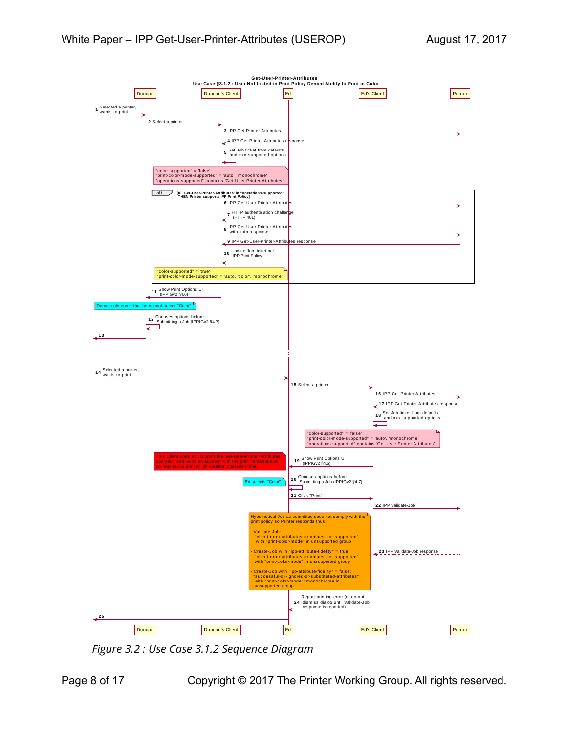

<span id="page-7-0"></span>*Figure 3.2 : Use Case 3.1.2 Sequence Diagram*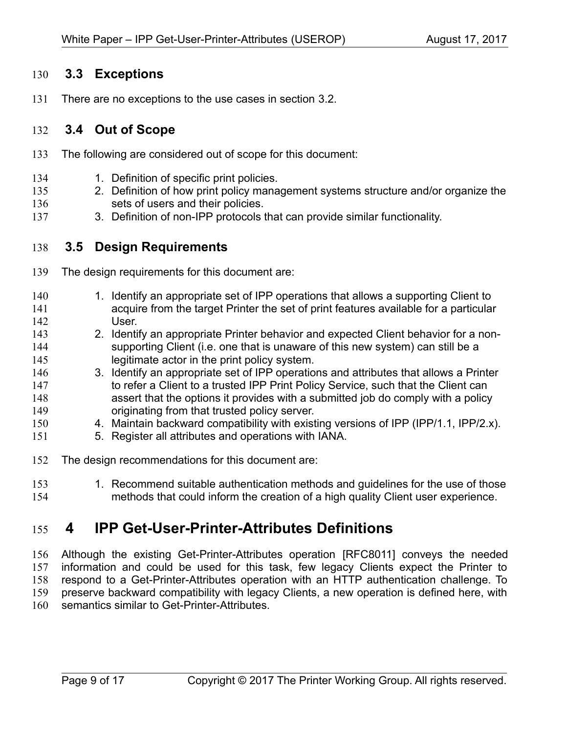#### **3.3 Exceptions** 130

There are no exceptions to the use cases in section [3.2.](#page-4-0) 131

#### **3.4 Out of Scope** 132

- The following are considered out of scope for this document: 133
- 1. Definition of specific print policies. 134
- 2. Definition of how print policy management systems structure and/or organize the sets of users and their policies. 135 136
- 3. Definition of non-IPP protocols that can provide similar functionality. 137

#### **3.5 Design Requirements** 138

- The design requirements for this document are: 139
- 1. Identify an appropriate set of IPP operations that allows a supporting Client to acquire from the target Printer the set of print features available for a particular User. 140 141 142
- 2. Identify an appropriate Printer behavior and expected Client behavior for a nonsupporting Client (i.e. one that is unaware of this new system) can still be a legitimate actor in the print policy system. 143 144 145
- 3. Identify an appropriate set of IPP operations and attributes that allows a Printer to refer a Client to a trusted IPP Print Policy Service, such that the Client can assert that the options it provides with a submitted job do comply with a policy originating from that trusted policy server. 146 147 148 149
- 4. Maintain backward compatibility with existing versions of IPP (IPP/1.1, IPP/2.x). 150
- 5. Register all attributes and operations with IANA. 151
- The design recommendations for this document are: 152
- 1. Recommend suitable authentication methods and guidelines for the use of those methods that could inform the creation of a high quality Client user experience. 153 154

## <span id="page-8-0"></span> **4 IPP Get-User-Printer-Attributes Definitions** 155

Although the existing Get-Printer-Attributes operation [\[RFC8011\]](#page-13-0) conveys the needed information and could be used for this task, few legacy Clients expect the Printer to respond to a Get-Printer-Attributes operation with an HTTP authentication challenge. To preserve backward compatibility with legacy Clients, a new operation is defined here, with semantics similar to Get-Printer-Attributes. 156 157 158 159 160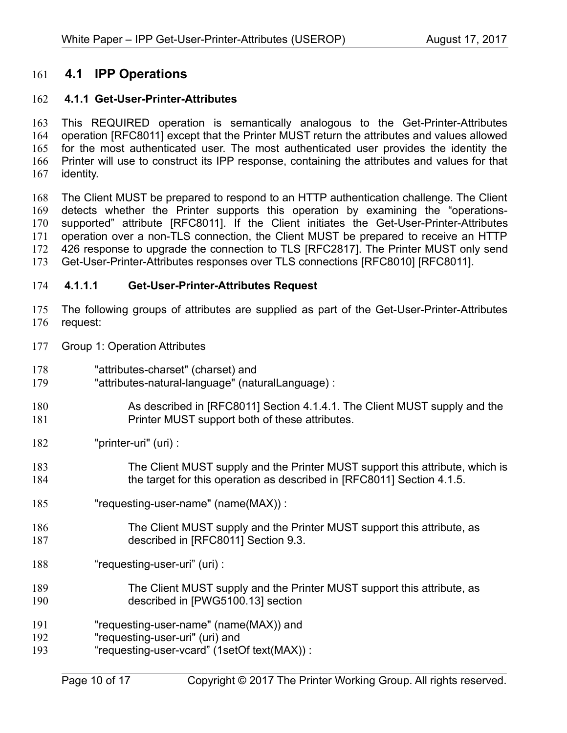#### **4.1 IPP Operations** 161

#### **4.1.1 Get-User-Printer-Attributes** 162

This REQUIRED operation is semantically analogous to the Get-Printer-Attributes operation [\[RFC8011\]](#page-13-0) except that the Printer MUST return the attributes and values allowed for the most authenticated user. The most authenticated user provides the identity the Printer will use to construct its IPP response, containing the attributes and values for that identity. 163 164 165 166 167

The Client MUST be prepared to respond to an HTTP authentication challenge. The Client detects whether the Printer supports this operation by examining the "operationssupported" attribute [\[RFC8011\].](#page-13-0) If the Client initiates the Get-User-Printer-Attributes operation over a non-TLS connection, the Client MUST be prepared to receive an HTTP 426 response to upgrade the connection to TLS [\[RFC2817\].](#page-12-4) The Printer MUST only send Get-User-Printer-Attributes responses over TLS connections [\[RFC8010\]](#page-13-1) [\[RFC8011\].](#page-13-0) 168 169 170 171 172 173

#### **4.1.1.1 Get-User-Printer-Attributes Request** 174

The following groups of attributes are supplied as part of the Get-User-Printer-Attributes request: 175 176

- Group 1: Operation Attributes 177
- "attributes-charset" (charset) and 178
- "attributes-natural-language" (naturalLanguage) : 179
- As described in [\[RFC8011\]](#page-13-0) Section 4.1.4.1. The Client MUST supply and the Printer MUST support both of these attributes. 180 181
- "printer-uri" (uri) : 182
- The Client MUST supply and the Printer MUST support this attribute, which is the target for this operation as described in [\[RFC8011\]](#page-13-0) Section 4.1.5. 183 184
- "requesting-user-name" (name(MAX)) : 185
- The Client MUST supply and the Printer MUST support this attribute, as described in [\[RFC8011\]](#page-13-0) Section 9.3. 186 187
- "requesting-user-uri" (uri) : 188
- The Client MUST supply and the Printer MUST support this attribute, as described in [\[PWG5100.13\]](#page-12-3) section 189 190
- "requesting-user-name" (name(MAX)) and 191
- "requesting-user-uri" (uri) and 192
- "requesting-user-vcard" (1setOf text(MAX)) : 193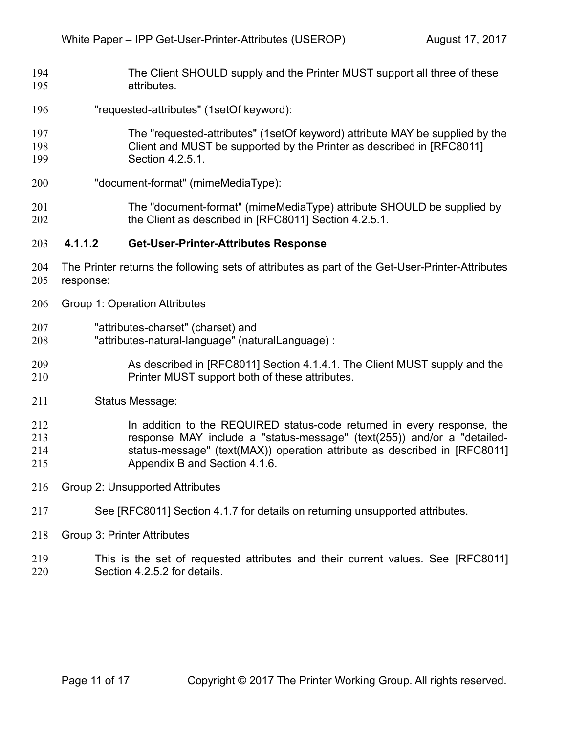- The Client SHOULD supply and the Printer MUST support all three of these attributes. 194 195
- "requested-attributes" (1setOf keyword): 196
- The "requested-attributes" (1setOf keyword) attribute MAY be supplied by the Client and MUST be supported by the Printer as described in [\[RFC8011\]](#page-13-0) Section 4.2.5.1. 197 198 199
- "document-format" (mimeMediaType): 200
- The "document-format" (mimeMediaType) attribute SHOULD be supplied by the Client as described in [\[RFC8011\]](#page-13-0) Section 4.2.5.1. 201 202

#### **4.1.1.2 Get-User-Printer-Attributes Response** 203

- The Printer returns the following sets of attributes as part of the Get-User-Printer-Attributes response: 204 205
- Group 1: Operation Attributes 206
- "attributes-charset" (charset) and 207
- "attributes-natural-language" (naturalLanguage) : 208
- As described in [\[RFC8011\]](#page-13-0) Section 4.1.4.1. The Client MUST supply and the Printer MUST support both of these attributes. 209 210
- Status Message: 211

#### In addition to the REQUIRED status-code returned in every response, the response MAY include a "status-message" (text(255)) and/or a "detailedstatus-message" (text(MAX)) operation attribute as described in [\[RFC8011\]](#page-13-0) Appendix B and Section 4.1.6. 212 213 214 215

- Group 2: Unsupported Attributes 216
- See [\[RFC8011\]](#page-13-0) Section 4.1.7 for details on returning unsupported attributes. 217
- Group 3: Printer Attributes 218
- This is the set of requested attributes and their current values. See [\[RFC8011\]](#page-13-0) Section 4.2.5.2 for details. 219 220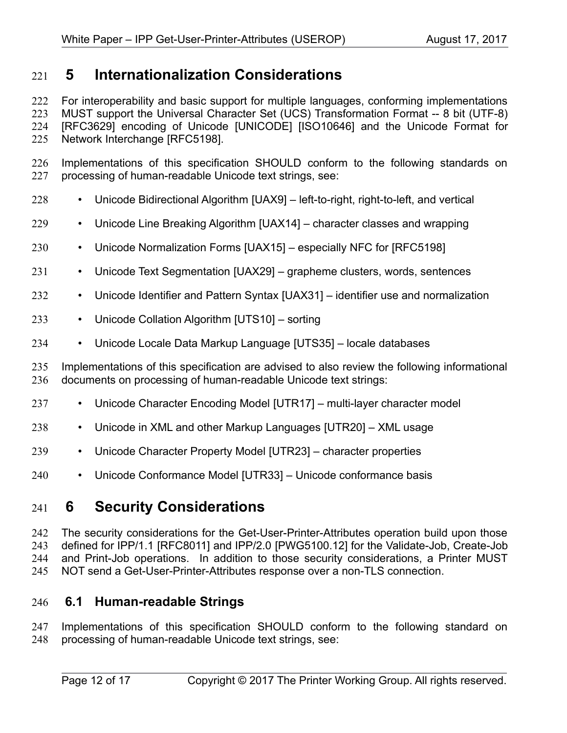## **5 Internationalization Considerations** 221

For interoperability and basic support for multiple languages, conforming implementations MUST support the Universal Character Set (UCS) Transformation Format -- 8 bit (UTF-8) [\[RFC3629\]](#page-12-8) encoding of Unicode [\[UNICODE\]](#page-13-12) [\[ISO10646\]](#page-12-7) and the Unicode Format for Network Interchange [\[RFC5198\].](#page-12-6) 222 223 224 225

Implementations of this specification SHOULD conform to the following standards on processing of human-readable Unicode text strings, see: 226 227

- Unicode Bidirectional Algorithm [\[UAX9\]](#page-13-11)  left-to-right, right-to-left, and vertical 228
- Unicode Line Breaking Algorithm [\[UAX14\]](#page-13-10)  character classes and wrapping 229
- Unicode Normalization Forms [\[UAX15\]](#page-13-9)  especially NFC for [\[RFC5198\]](#page-12-6) 230
- Unicode Text Segmentation [\[UAX29\]](#page-13-8)  grapheme clusters, words, sentences 231
- Unicode Identifier and Pattern Syntax [\[UAX31\]](#page-13-7)  identifier use and normalization 232
- Unicode Collation Algorithm [\[UTS10\]](#page-13-6)  sorting 233
- Unicode Locale Data Markup Language [\[UTS35\]](#page-13-5)  locale databases 234

Implementations of this specification are advised to also review the following informational documents on processing of human-readable Unicode text strings: 235 236

- Unicode Character Encoding Model [\[UTR17\]](#page-13-4)  multi-layer character model 237
- Unicode in XML and other Markup Languages [\[UTR20\]](#page-13-3)  XML usage 238
- Unicode Character Property Model [\[UTR23\]](#page-13-2)  character properties 239
- Unicode Conformance Model [\[UTR33\]](#page-14-0)  Unicode conformance basis 240

## **6 Security Considerations** 241

The security considerations for the Get-User-Printer-Attributes operation build upon those defined for IPP/1.1 [\[RFC8011\]](#page-13-0) and IPP/2.0 [\[PWG5100.12\]](#page-12-5) for the Validate-Job, Create-Job and Print-Job operations. In addition to those security considerations, a Printer MUST NOT send a Get-User-Printer-Attributes response over a non-TLS connection. 242 243 244 245

#### **6.1 Human-readable Strings**  246

Implementations of this specification SHOULD conform to the following standard on processing of human-readable Unicode text strings, see: 247 248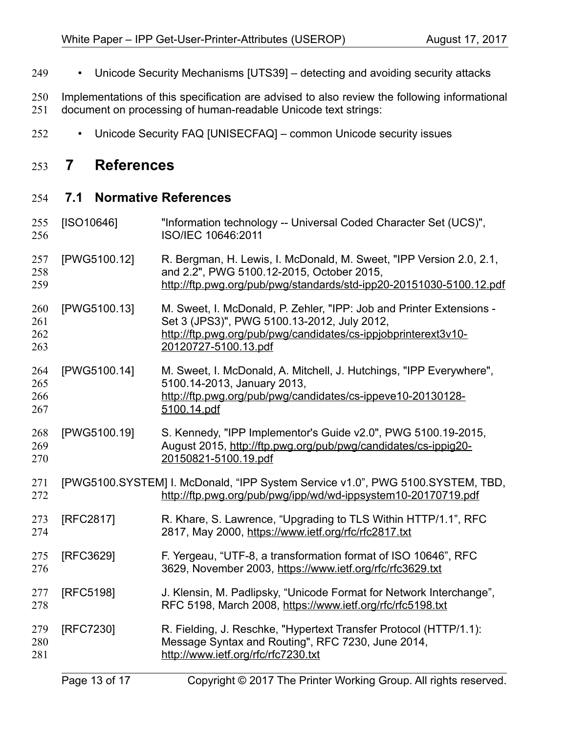- Unicode Security Mechanisms [\[UTS39\]](#page-13-14)  detecting and avoiding security attacks 249
- Implementations of this specification are advised to also review the following informational document on processing of human-readable Unicode text strings: 250 251
- Unicode Security FAQ [\[UNISECFAQ\]](#page-13-13)  common Unicode security issues 252

## **7 References** 253

#### **7.1 Normative References** 254

<span id="page-12-8"></span><span id="page-12-7"></span><span id="page-12-6"></span><span id="page-12-5"></span><span id="page-12-4"></span><span id="page-12-3"></span><span id="page-12-2"></span><span id="page-12-1"></span><span id="page-12-0"></span>[ISO10646] "Information technology -- Universal Coded Character Set (UCS)", ISO/IEC 10646:2011 [PWG5100.12] R. Bergman, H. Lewis, I. McDonald, M. Sweet, "IPP Version 2.0, 2.1, and 2.2", PWG 5100.12-2015, October 2015, <http://ftp.pwg.org/pub/pwg/standards/std-ipp20-20151030-5100.12.pdf> [PWG5100.13] M. Sweet, I. McDonald, P. Zehler, "IPP: Job and Printer Extensions - Set 3 (JPS3)", PWG 5100.13-2012, July 2012, [http://ftp.pwg.org/pub/pwg/candidates/cs-ippjobprinterext3v10-](http://ftp.pwg.org/pub/pwg/candidates/cs-ippjobprinterext3v10-20120727-5100.13.pdf) [20120727-5100.13.pdf](http://ftp.pwg.org/pub/pwg/candidates/cs-ippjobprinterext3v10-20120727-5100.13.pdf) [PWG5100.14] M. Sweet, I. McDonald, A. Mitchell, J. Hutchings, "IPP Everywhere", 5100.14-2013, January 2013, [http://ftp.pwg.org/pub/pwg/candidates/cs-ippeve10-20130128-](http://ftp.pwg.org/pub/pwg/candidates/cs-ippeve10-20130128-5100.14.pdf) [5100.14.pdf](http://ftp.pwg.org/pub/pwg/candidates/cs-ippeve10-20130128-5100.14.pdf) [PWG5100.19] S. Kennedy, "IPP Implementor's Guide v2.0", PWG 5100.19-2015, August 2015, [http://ftp.pwg.org/pub/pwg/candidates/cs-ippig20-](http://ftp.pwg.org/pub/pwg/candidates/cs-ippig20-20150821-5100.19.pdf) [20150821-5100.19.pdf](http://ftp.pwg.org/pub/pwg/candidates/cs-ippig20-20150821-5100.19.pdf) [PWG5100.SYSTEM] I. McDonald, "IPP System Service v1.0", PWG 5100.SYSTEM, TBD, <http://ftp.pwg.org/pub/pwg/ipp/wd/wd-ippsystem10-20170719.pdf> [RFC2817] R. Khare, S. Lawrence, "Upgrading to TLS Within HTTP/1.1", RFC 2817, May 2000,<https://www.ietf.org/rfc/rfc2817.txt> [RFC3629] F. Yergeau, "UTF-8, a transformation format of ISO 10646", RFC 3629, November 2003,<https://www.ietf.org/rfc/rfc3629.txt> [RFC5198] J. Klensin, M. Padlipsky, "Unicode Format for Network Interchange", RFC 5198, March 2008,<https://www.ietf.org/rfc/rfc5198.txt> [RFC7230] R. Fielding, J. Reschke, "Hypertext Transfer Protocol (HTTP/1.1): Message Syntax and Routing", RFC 7230, June 2014, <http://www.ietf.org/rfc/rfc7230.txt> 255 256 257 258 259 260 261 262 263 264 265 266 267 268 269 270 271 272 273 274 275 276 277 278 279 280 281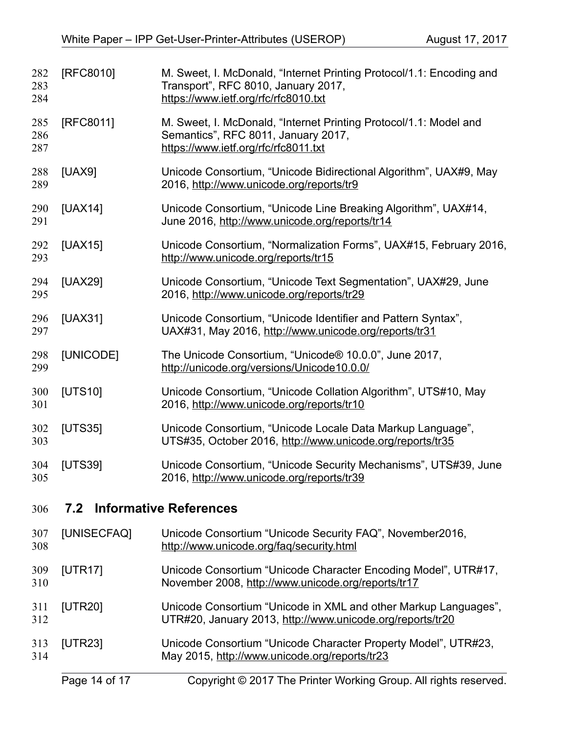<span id="page-13-14"></span><span id="page-13-13"></span><span id="page-13-12"></span><span id="page-13-11"></span><span id="page-13-10"></span><span id="page-13-9"></span><span id="page-13-8"></span><span id="page-13-7"></span><span id="page-13-6"></span><span id="page-13-5"></span><span id="page-13-4"></span><span id="page-13-3"></span><span id="page-13-2"></span><span id="page-13-1"></span><span id="page-13-0"></span>

| 282<br>283<br>284                           | [RFC8010]   | M. Sweet, I. McDonald, "Internet Printing Protocol/1.1: Encoding and<br>Transport", RFC 8010, January 2017,<br>https://www.ietf.org/rfc/rfc8010.txt |  |
|---------------------------------------------|-------------|-----------------------------------------------------------------------------------------------------------------------------------------------------|--|
| 285<br>286<br>287                           | [RFC8011]   | M. Sweet, I. McDonald, "Internet Printing Protocol/1.1: Model and<br>Semantics", RFC 8011, January 2017,<br>https://www.ietf.org/rfc/rfc8011.txt    |  |
| 288<br>289                                  | [UAX9]      | Unicode Consortium, "Unicode Bidirectional Algorithm", UAX#9, May<br>2016, http://www.unicode.org/reports/tr9                                       |  |
| 290<br>291                                  | [UAX14]     | Unicode Consortium, "Unicode Line Breaking Algorithm", UAX#14,<br>June 2016, http://www.unicode.org/reports/tr14                                    |  |
| 292<br>293                                  | [UAX15]     | Unicode Consortium, "Normalization Forms", UAX#15, February 2016,<br>http://www.unicode.org/reports/tr15                                            |  |
| 294<br>295                                  | [UAX29]     | Unicode Consortium, "Unicode Text Segmentation", UAX#29, June<br>2016, http://www.unicode.org/reports/tr29                                          |  |
| 296<br>297                                  | [UAX31]     | Unicode Consortium, "Unicode Identifier and Pattern Syntax",<br>UAX#31, May 2016, http://www.unicode.org/reports/tr31                               |  |
| 298<br>299                                  | [UNICODE]   | The Unicode Consortium, "Unicode® 10.0.0", June 2017,<br>http://unicode.org/versions/Unicode10.0.0/                                                 |  |
| 300<br>301                                  | [UTS10]     | Unicode Consortium, "Unicode Collation Algorithm", UTS#10, May<br>2016, http://www.unicode.org/reports/tr10                                         |  |
| 302<br>303                                  | [UTS35]     | Unicode Consortium, "Unicode Locale Data Markup Language",<br>UTS#35, October 2016, http://www.unicode.org/reports/tr35                             |  |
| 304<br>305                                  | [UTS39]     | Unicode Consortium, "Unicode Security Mechanisms", UTS#39, June<br>2016, http://www.unicode.org/reports/tr39                                        |  |
| <b>Informative References</b><br>7.2<br>306 |             |                                                                                                                                                     |  |
| 307<br>308                                  | [UNISECFAQ] | Unicode Consortium "Unicode Security FAQ", November2016,<br>http://www.unicode.org/fag/security.html                                                |  |
| 309<br>310                                  | [UTR17]     | Unicode Consortium "Unicode Character Encoding Model", UTR#17,<br>November 2008, http://www.unicode.org/reports/tr17                                |  |
| 311<br>312                                  | [UTR20]     | Unicode Consortium "Unicode in XML and other Markup Languages",<br>UTR#20, January 2013, http://www.unicode.org/reports/tr20                        |  |
| 313<br>314                                  | [UTR23]     | Unicode Consortium "Unicode Character Property Model", UTR#23,<br>May 2015, http://www.unicode.org/reports/tr23                                     |  |
|                                             |             |                                                                                                                                                     |  |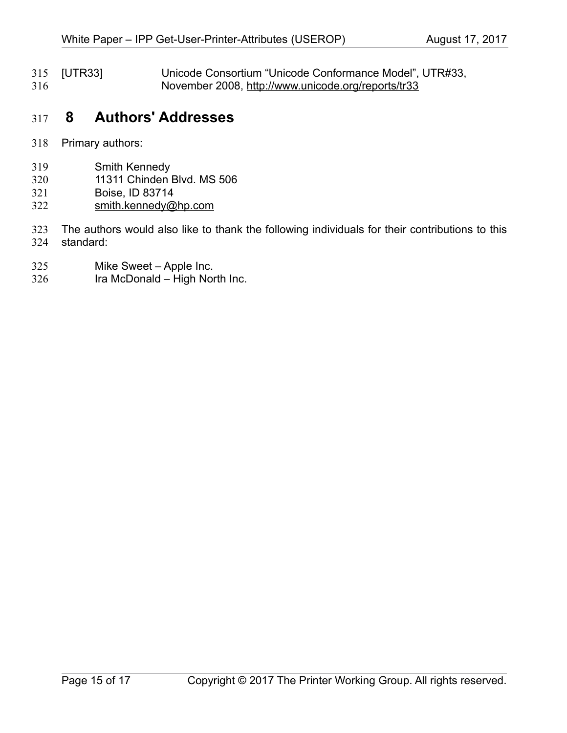<span id="page-14-0"></span>[UTR33] Unicode Consortium "Unicode Conformance Model", UTR#33, November 2008,<http://www.unicode.org/reports/tr33> 315 316

## **8 Authors' Addresses** 317

- Primary authors: 318
- Smith Kennedy 319
- 11311 Chinden Blvd. MS 506 320
- Boise, ID 83714 321
- [smith.kennedy@hp.com](mailto:smith.kennedy@hp.com) 322
- The authors would also like to thank the following individuals for their contributions to this standard: 323 324
- Mike Sweet Apple Inc. 325
- Ira McDonald High North Inc. 326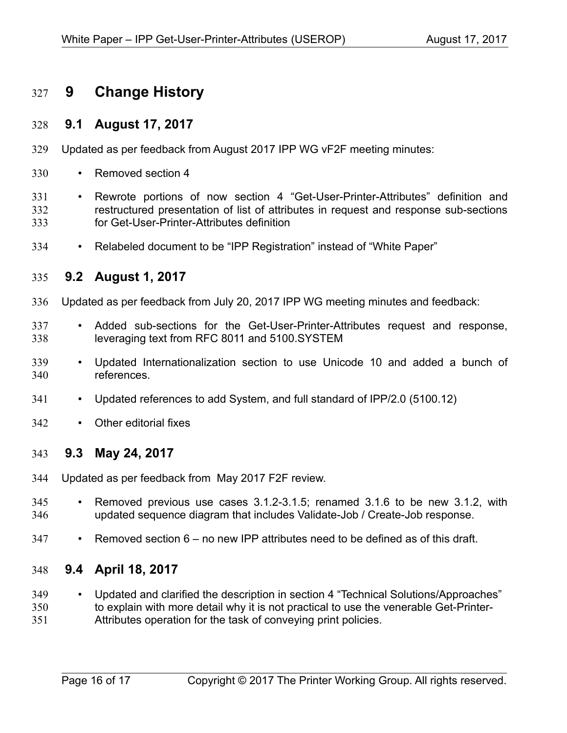## **9 Change History** 327

#### **9.1 August 17, 2017** 328

- Updated as per feedback from August 2017 IPP WG vF2F meeting minutes: 329
- Removed section 4 330
- Rewrote portions of now section 4 "Get-User-Printer-Attributes" definition and restructured presentation of list of attributes in request and response sub-sections for Get-User-Printer-Attributes definition 331 332 333
- Relabeled document to be "IPP Registration" instead of "White Paper" 334

#### **9.2 August 1, 2017** 335

- Updated as per feedback from July 20, 2017 IPP WG meeting minutes and feedback: 336
- Added sub-sections for the Get-User-Printer-Attributes request and response, leveraging text from RFC 8011 and 5100.SYSTEM 337 338
- Updated Internationalization section to use Unicode 10 and added a bunch of references. 339 340
- Updated references to add System, and full standard of IPP/2.0 (5100.12) 341
- Other editorial fixes 342

#### **9.3 May 24, 2017** 343

- Updated as per feedback from May 2017 F2F review. 344
- Removed previous use cases 3.1.2-3.1.5; renamed 3.1.6 to be new 3.1.2, with updated sequence diagram that includes Validate-Job / Create-Job response. 345 346
- Removed section 6 no new IPP attributes need to be defined as of this draft. 347

#### **9.4 April 18, 2017** 348

- Updated and clarified the description in section 4 "Technical Solutions/Approaches" to explain with more detail why it is not practical to use the venerable Get-Printer-349 350
- Attributes operation for the task of conveying print policies. 351